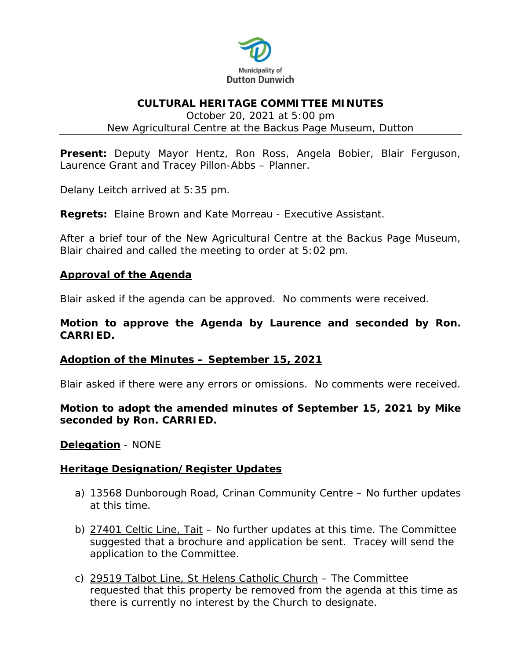

### **CULTURAL HERITAGE COMMITTEE MINUTES**

October 20, 2021 at 5:00 pm New Agricultural Centre at the Backus Page Museum, Dutton

**Present:** Deputy Mayor Hentz, Ron Ross, Angela Bobier, Blair Ferguson, Laurence Grant and Tracey Pillon-Abbs – Planner.

Delany Leitch arrived at 5:35 pm.

**Regrets:** Elaine Brown and Kate Morreau - Executive Assistant.

After a brief tour of the New Agricultural Centre at the Backus Page Museum, Blair chaired and called the meeting to order at 5:02 pm.

### **Approval of the Agenda**

Blair asked if the agenda can be approved. No comments were received.

### **Motion to approve the Agenda by Laurence and seconded by Ron. CARRIED.**

### **Adoption of the Minutes – September 15, 2021**

Blair asked if there were any errors or omissions. No comments were received.

## **Motion to adopt the amended minutes of September 15, 2021 by Mike seconded by Ron. CARRIED.**

**Delegation** - NONE

### **Heritage Designation/Register Updates**

- a) 13568 Dunborough Road, Crinan Community Centre No further updates at this time.
- b) 27401 Celtic Line, Tait No further updates at this time. The Committee suggested that a brochure and application be sent. Tracey will send the application to the Committee.
- c) 29519 Talbot Line, St Helens Catholic Church The Committee requested that this property be removed from the agenda at this time as there is currently no interest by the Church to designate.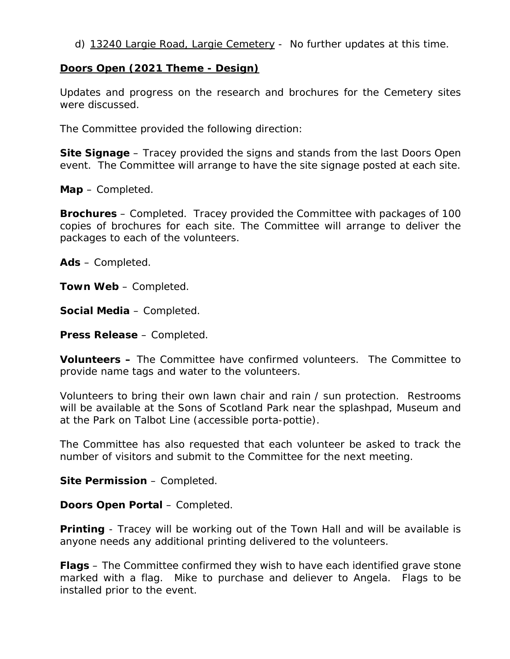d) 13240 Largie Road, Largie Cemetery - No further updates at this time.

## **Doors Open (2021 Theme - Design)**

Updates and progress on the research and brochures for the Cemetery sites were discussed.

The Committee provided the following direction:

**Site Signage** – Tracey provided the signs and stands from the last Doors Open event. The Committee will arrange to have the site signage posted at each site.

**Map** – Completed.

**Brochures** – Completed. Tracey provided the Committee with packages of 100 copies of brochures for each site. The Committee will arrange to deliver the packages to each of the volunteers.

**Ads** – Completed.

**Town Web** – Completed.

**Social Media** – Completed.

**Press Release** – Completed.

**Volunteers –** The Committee have confirmed volunteers. The Committee to provide name tags and water to the volunteers.

Volunteers to bring their own lawn chair and rain / sun protection. Restrooms will be available at the Sons of Scotland Park near the splashpad, Museum and at the Park on Talbot Line (accessible porta-pottie).

The Committee has also requested that each volunteer be asked to track the number of visitors and submit to the Committee for the next meeting.

**Site Permission** – Completed.

**Doors Open Portal** – Completed.

**Printing** - Tracey will be working out of the Town Hall and will be available is anyone needs any additional printing delivered to the volunteers.

**Flags** – The Committee confirmed they wish to have each identified grave stone marked with a flag. Mike to purchase and deliever to Angela. Flags to be installed prior to the event.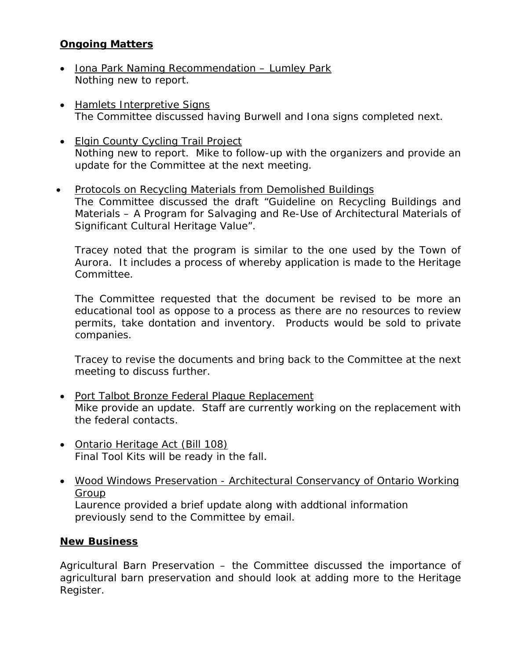# **Ongoing Matters**

- Iona Park Naming Recommendation Lumley Park Nothing new to report.
- Hamlets Interpretive Signs The Committee discussed having Burwell and Iona signs completed next.
- Elgin County Cycling Trail Project Nothing new to report. Mike to follow-up with the organizers and provide an update for the Committee at the next meeting.
- Protocols on Recycling Materials from Demolished Buildings The Committee discussed the draft "Guideline on Recycling Buildings and Materials – A Program for Salvaging and Re-Use of Architectural Materials of Significant Cultural Heritage Value".

Tracey noted that the program is similar to the one used by the Town of Aurora. It includes a process of whereby application is made to the Heritage Committee.

The Committee requested that the document be revised to be more an educational tool as oppose to a process as there are no resources to review permits, take dontation and inventory. Products would be sold to private companies.

Tracey to revise the documents and bring back to the Committee at the next meeting to discuss further.

- Port Talbot Bronze Federal Plaque Replacement Mike provide an update. Staff are currently working on the replacement with the federal contacts.
- Ontario Heritage Act (Bill 108) Final Tool Kits will be ready in the fall.
- Wood Windows Preservation Architectural Conservancy of Ontario Working Group

Laurence provided a brief update along with addtional information previously send to the Committee by email.

# **New Business**

Agricultural Barn Preservation – the Committee discussed the importance of agricultural barn preservation and should look at adding more to the Heritage Register.